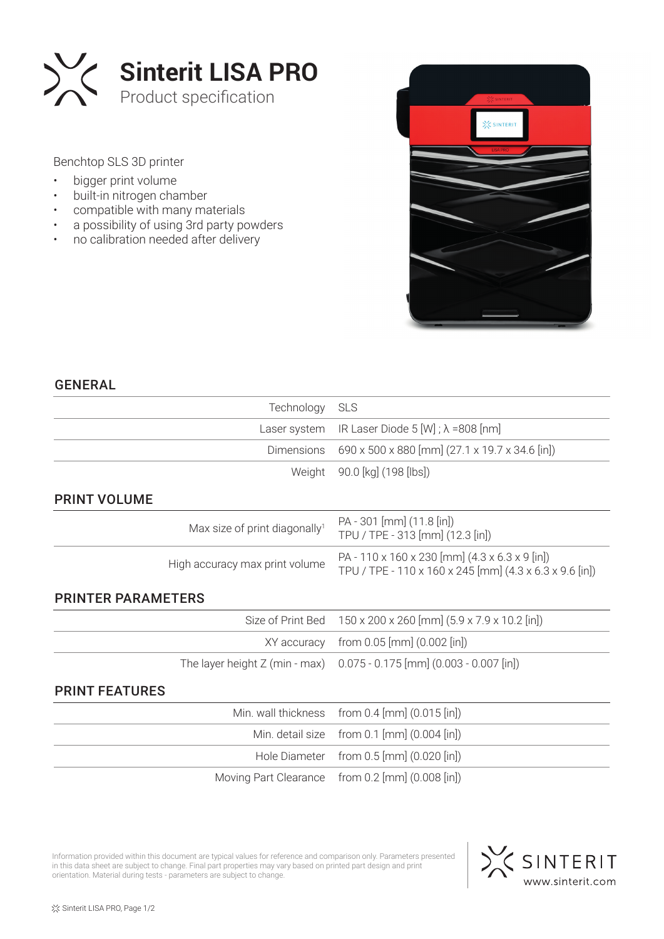

Benchtop SLS 3D printer

- bigger print volume
- built-in nitrogen chamber
- compatible with many materials
- a possibility of using 3rd party powders
- no calibration needed after delivery



## GENERAL

|                           | Technology                                | <b>SLS</b>                                                                                                             |  |  |
|---------------------------|-------------------------------------------|------------------------------------------------------------------------------------------------------------------------|--|--|
|                           | Laser system                              | IR Laser Diode 5 [W] ; $\lambda$ =808 [nm]                                                                             |  |  |
|                           | <b>Dimensions</b>                         | 690 x 500 x 880 [mm] (27.1 x 19.7 x 34.6 [in])                                                                         |  |  |
|                           | Weight                                    | 90.0 [kg] (198 [lbs])                                                                                                  |  |  |
| <b>PRINT VOLUME</b>       |                                           |                                                                                                                        |  |  |
|                           | Max size of print diagonally <sup>1</sup> | PA - 301 [mm] (11.8 [in])<br>TPU / TPE - 313 [mm] (12.3 [in])                                                          |  |  |
|                           | High accuracy max print volume            | PA - 110 x 160 x 230 [mm] $(4.3 \times 6.3 \times 9)$ [in])<br>TPU / TPE - 110 x 160 x 245 [mm] (4.3 x 6.3 x 9.6 [in]) |  |  |
| <b>PRINTER PARAMETERS</b> |                                           |                                                                                                                        |  |  |
|                           | Size of Print Bed                         | 150 x 200 x 260 [mm] (5.9 x 7.9 x 10.2 [in])                                                                           |  |  |
|                           | XY accuracy                               | from $0.05$ [mm] $(0.002$ [in])                                                                                        |  |  |
|                           | The layer height $Z$ (min - max)          | $0.075 - 0.175$ [mm] $(0.003 - 0.007$ [in])                                                                            |  |  |
| <b>PRINT FEATURES</b>     |                                           |                                                                                                                        |  |  |
|                           | Min. wall thickness                       | from $0.4$ [mm] $(0.015$ [in])                                                                                         |  |  |
|                           | Min. detail size                          | from $0.1$ [mm] $(0.004$ [in])                                                                                         |  |  |
|                           | Hole Diameter                             | from $0.5$ [mm] $(0.020$ [in])                                                                                         |  |  |
|                           | Moving Part Clearance                     | from $0.2$ [mm] $(0.008$ [in])                                                                                         |  |  |

Information provided within this document are typical values for reference and comparison only. Parameters presented in this data sheet are subject to change. Final part properties may vary based on printed part design and print orientation. Material during tests - parameters are subject to change.